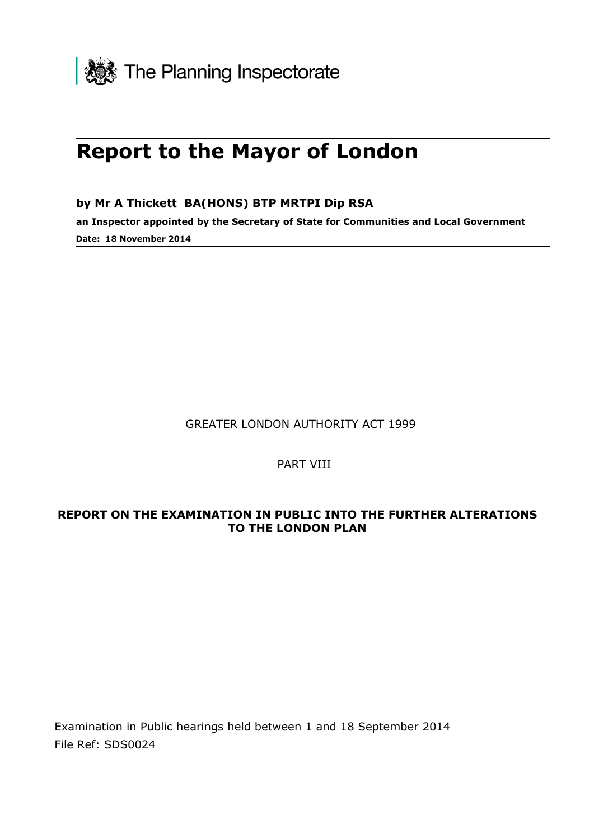

# **Report to the Mayor of London**

**by Mr A Thickett BA(HONS) BTP MRTPI Dip RSA**

**an Inspector appointed by the Secretary of State for Communities and Local Government Date: 18 November 2014**

GREATER LONDON AUTHORITY ACT 1999

PART VIII

#### **REPORT ON THE EXAMINATION IN PUBLIC INTO THE FURTHER ALTERATIONS TO THE LONDON PLAN**

Examination in Public hearings held between 1 and 18 September 2014 File Ref: SDS0024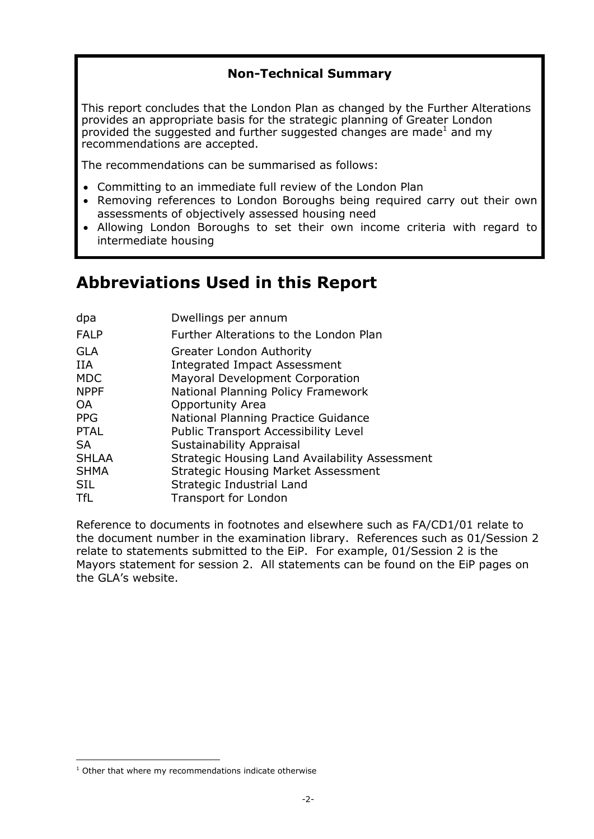### **Non-Technical Summary**

This report concludes that the London Plan as changed by the Further Alterations provides an appropriate basis for the strategic planning of Greater London provided the suggested and further suggested changes are made<sup>1</sup> and my recommendations are accepted.

The recommendations can be summarised as follows:

- Committing to an immediate full review of the London Plan
- Removing references to London Boroughs being required carry out their own assessments of objectively assessed housing need
- Allowing London Boroughs to set their own income criteria with regard to intermediate housing

## **Abbreviations Used in this Report**

| dpa                      | Dwellings per annum                                                                                       |
|--------------------------|-----------------------------------------------------------------------------------------------------------|
| <b>FALP</b>              | Further Alterations to the London Plan                                                                    |
| GLA<br>IIA<br><b>MDC</b> | <b>Greater London Authority</b><br><b>Integrated Impact Assessment</b><br>Mayoral Development Corporation |
| <b>NPPF</b>              | National Planning Policy Framework                                                                        |
| OA                       | Opportunity Area                                                                                          |
| <b>PPG</b>               | National Planning Practice Guidance                                                                       |
| <b>PTAL</b>              | Public Transport Accessibility Level                                                                      |
| SA                       | Sustainability Appraisal                                                                                  |
| <b>SHLAA</b>             | Strategic Housing Land Availability Assessment                                                            |
| SHMA                     | <b>Strategic Housing Market Assessment</b>                                                                |
| SIL                      | Strategic Industrial Land                                                                                 |
| TfL                      | Transport for London                                                                                      |
|                          |                                                                                                           |

Reference to documents in footnotes and elsewhere such as FA/CD1/01 relate to the document number in the examination library. References such as 01/Session 2 relate to statements submitted to the EiP. For example, 01/Session 2 is the Mayors statement for session 2. All statements can be found on the EiP pages on the GLA's website.

 $1$  Other that where my recommendations indicate otherwise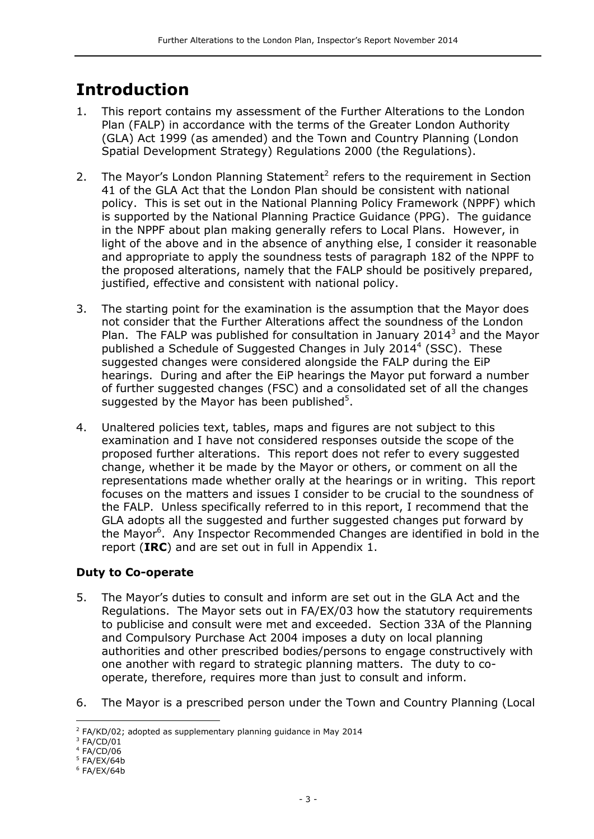## **Introduction**

- 1. This report contains my assessment of the Further Alterations to the London Plan (FALP) in accordance with the terms of the Greater London Authority (GLA) Act 1999 (as amended) and the Town and Country Planning (London Spatial Development Strategy) Regulations 2000 (the Regulations).
- 2. The Mayor's London Planning Statement<sup>2</sup> refers to the requirement in Section 41 of the GLA Act that the London Plan should be consistent with national policy. This is set out in the National Planning Policy Framework (NPPF) which is supported by the National Planning Practice Guidance (PPG). The guidance in the NPPF about plan making generally refers to Local Plans. However, in light of the above and in the absence of anything else, I consider it reasonable and appropriate to apply the soundness tests of paragraph 182 of the NPPF to the proposed alterations, namely that the FALP should be positively prepared, justified, effective and consistent with national policy.
- 3. The starting point for the examination is the assumption that the Mayor does not consider that the Further Alterations affect the soundness of the London Plan. The FALP was published for consultation in January 2014 $3$  and the Mayor published a Schedule of Suggested Changes in July 2014<sup>4</sup> (SSC). These suggested changes were considered alongside the FALP during the EiP hearings. During and after the EiP hearings the Mayor put forward a number of further suggested changes (FSC) and a consolidated set of all the changes suggested by the Mayor has been published $5$ .
- 4. Unaltered policies text, tables, maps and figures are not subject to this examination and I have not considered responses outside the scope of the proposed further alterations. This report does not refer to every suggested change, whether it be made by the Mayor or others, or comment on all the representations made whether orally at the hearings or in writing. This report focuses on the matters and issues I consider to be crucial to the soundness of the FALP. Unless specifically referred to in this report, I recommend that the GLA adopts all the suggested and further suggested changes put forward by the Mayor<sup>6</sup>. Any Inspector Recommended Changes are identified in bold in the report (**IRC**) and are set out in full in Appendix 1.

#### **Duty to Co-operate**

- 5. The Mayor's duties to consult and inform are set out in the GLA Act and the Regulations. The Mayor sets out in FA/EX/03 how the statutory requirements to publicise and consult were met and exceeded. Section 33A of the Planning and Compulsory Purchase Act 2004 imposes a duty on local planning authorities and other prescribed bodies/persons to engage constructively with one another with regard to strategic planning matters. The duty to cooperate, therefore, requires more than just to consult and inform.
- 6. The Mayor is a prescribed person under the Town and Country Planning (Local

 $\overline{a}$ 

 $2$  FA/KD/02; adopted as supplementary planning guidance in May 2014

 $3$  FA/CD/01

<sup>4</sup> FA/CD/06

<sup>5</sup> FA/EX/64b

<sup>6</sup> FA/EX/64b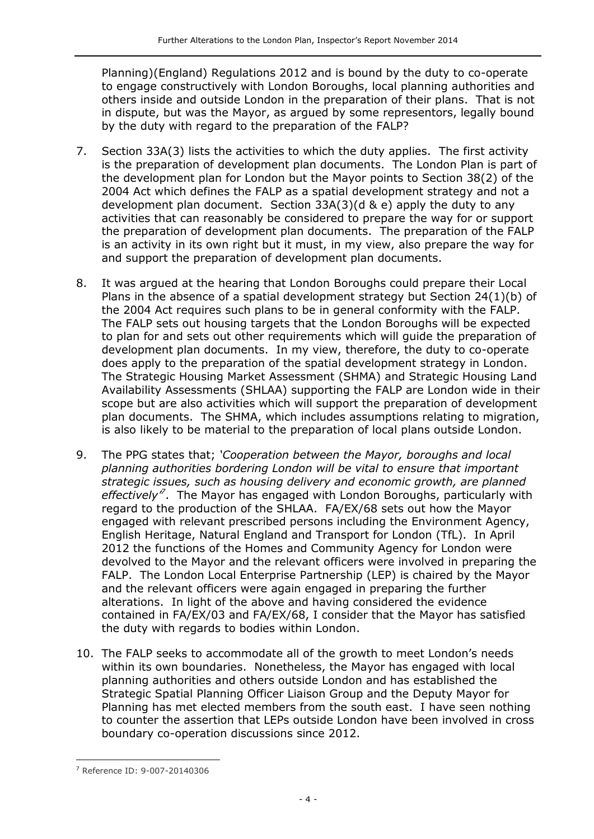Planning)(England) Regulations 2012 and is bound by the duty to co-operate to engage constructively with London Boroughs, local planning authorities and others inside and outside London in the preparation of their plans. That is not in dispute, but was the Mayor, as argued by some representors, legally bound by the duty with regard to the preparation of the FALP?

- 7. Section 33A(3) lists the activities to which the duty applies. The first activity is the preparation of development plan documents. The London Plan is part of the development plan for London but the Mayor points to Section 38(2) of the 2004 Act which defines the FALP as a spatial development strategy and not a development plan document. Section 33A(3)(d & e) apply the duty to any activities that can reasonably be considered to prepare the way for or support the preparation of development plan documents. The preparation of the FALP is an activity in its own right but it must, in my view, also prepare the way for and support the preparation of development plan documents.
- 8. It was argued at the hearing that London Boroughs could prepare their Local Plans in the absence of a spatial development strategy but Section 24(1)(b) of the 2004 Act requires such plans to be in general conformity with the FALP. The FALP sets out housing targets that the London Boroughs will be expected to plan for and sets out other requirements which will guide the preparation of development plan documents. In my view, therefore, the duty to co-operate does apply to the preparation of the spatial development strategy in London. The Strategic Housing Market Assessment (SHMA) and Strategic Housing Land Availability Assessments (SHLAA) supporting the FALP are London wide in their scope but are also activities which will support the preparation of development plan documents. The SHMA, which includes assumptions relating to migration, is also likely to be material to the preparation of local plans outside London.
- 9. The PPG states that; *'Cooperation between the Mayor, boroughs and local planning authorities bordering London will be vital to ensure that important strategic issues, such as housing delivery and economic growth, are planned effectively'<sup>7</sup>* . The Mayor has engaged with London Boroughs, particularly with regard to the production of the SHLAA. FA/EX/68 sets out how the Mayor engaged with relevant prescribed persons including the Environment Agency, English Heritage, Natural England and Transport for London (TfL). In April 2012 the functions of the Homes and Community Agency for London were devolved to the Mayor and the relevant officers were involved in preparing the FALP. The London Local Enterprise Partnership (LEP) is chaired by the Mayor and the relevant officers were again engaged in preparing the further alterations. In light of the above and having considered the evidence contained in FA/EX/03 and FA/EX/68, I consider that the Mayor has satisfied the duty with regards to bodies within London.
- 10. The FALP seeks to accommodate all of the growth to meet London's needs within its own boundaries. Nonetheless, the Mayor has engaged with local planning authorities and others outside London and has established the Strategic Spatial Planning Officer Liaison Group and the Deputy Mayor for Planning has met elected members from the south east. I have seen nothing to counter the assertion that LEPs outside London have been involved in cross boundary co-operation discussions since 2012.

<sup>7</sup> Reference ID: 9-007-20140306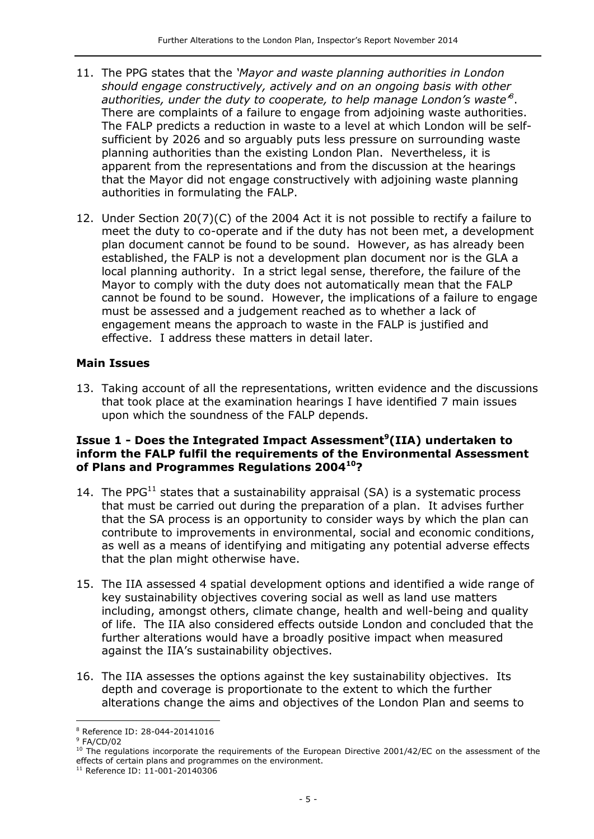- 11. The PPG states that the *'Mayor and waste planning authorities in London should engage constructively, actively and on an ongoing basis with other authorities, under the duty to cooperate, to help manage London's waste'<sup>8</sup>* . There are complaints of a failure to engage from adjoining waste authorities. The FALP predicts a reduction in waste to a level at which London will be selfsufficient by 2026 and so arguably puts less pressure on surrounding waste planning authorities than the existing London Plan. Nevertheless, it is apparent from the representations and from the discussion at the hearings that the Mayor did not engage constructively with adjoining waste planning authorities in formulating the FALP.
- 12. Under Section 20(7)(C) of the 2004 Act it is not possible to rectify a failure to meet the duty to co-operate and if the duty has not been met, a development plan document cannot be found to be sound. However, as has already been established, the FALP is not a development plan document nor is the GLA a local planning authority. In a strict legal sense, therefore, the failure of the Mayor to comply with the duty does not automatically mean that the FALP cannot be found to be sound. However, the implications of a failure to engage must be assessed and a judgement reached as to whether a lack of engagement means the approach to waste in the FALP is justified and effective. I address these matters in detail later.

#### **Main Issues**

13. Taking account of all the representations, written evidence and the discussions that took place at the examination hearings I have identified 7 main issues upon which the soundness of the FALP depends.

#### **Issue 1 - Does the Integrated Impact Assessment<sup>9</sup> (IIA) undertaken to inform the FALP fulfil the requirements of the Environmental Assessment of Plans and Programmes Regulations 2004<sup>10</sup>?**

- 14. The PPG $^{11}$  states that a sustainability appraisal (SA) is a systematic process that must be carried out during the preparation of a plan. It advises further that the SA process is an opportunity to consider ways by which the plan can contribute to improvements in environmental, social and economic conditions, as well as a means of identifying and mitigating any potential adverse effects that the plan might otherwise have.
- 15. The IIA assessed 4 spatial development options and identified a wide range of key sustainability objectives covering social as well as land use matters including, amongst others, climate change, health and well-being and quality of life. The IIA also considered effects outside London and concluded that the further alterations would have a broadly positive impact when measured against the IIA's sustainability objectives.
- 16. The IIA assesses the options against the key sustainability objectives. Its depth and coverage is proportionate to the extent to which the further alterations change the aims and objectives of the London Plan and seems to

 $\overline{a}$ 

<sup>8</sup> Reference ID: 28-044-20141016

<sup>9</sup> FA/CD/02

<sup>&</sup>lt;sup>10</sup> The regulations incorporate the requirements of the [European Directive 2001/42/EC](http://eur-lex.europa.eu/LexUriServ/LexUriServ.do?uri=CELEX:32001L0042:EN:NOT) on the assessment of the effects of certain plans and programmes on the environment.

<sup>11</sup> Reference ID: 11-001-20140306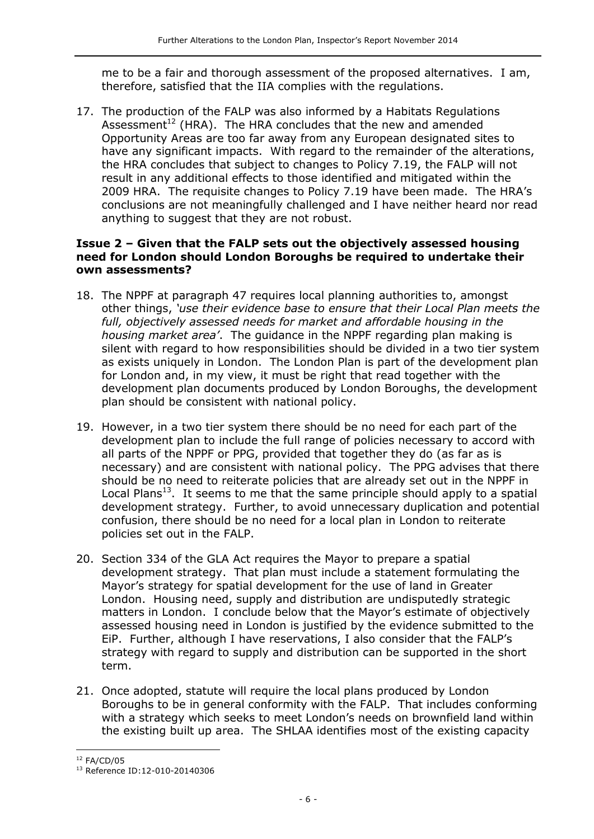me to be a fair and thorough assessment of the proposed alternatives. I am, therefore, satisfied that the IIA complies with the regulations.

17. The production of the FALP was also informed by a Habitats Regulations Assessment<sup>12</sup> (HRA). The HRA concludes that the new and amended Opportunity Areas are too far away from any European designated sites to have any significant impacts. With regard to the remainder of the alterations, the HRA concludes that subject to changes to Policy 7.19, the FALP will not result in any additional effects to those identified and mitigated within the 2009 HRA. The requisite changes to Policy 7.19 have been made. The HRA's conclusions are not meaningfully challenged and I have neither heard nor read anything to suggest that they are not robust.

#### **Issue 2 – Given that the FALP sets out the objectively assessed housing need for London should London Boroughs be required to undertake their own assessments?**

- 18. The NPPF at paragraph 47 requires local planning authorities to, amongst other things, *'use their evidence base to ensure that their Local Plan meets the full, objectively assessed needs for market and affordable housing in the housing market area'*. The guidance in the NPPF regarding plan making is silent with regard to how responsibilities should be divided in a two tier system as exists uniquely in London. The London Plan is part of the development plan for London and, in my view, it must be right that read together with the development plan documents produced by London Boroughs, the development plan should be consistent with national policy.
- 19. However, in a two tier system there should be no need for each part of the development plan to include the full range of policies necessary to accord with all parts of the NPPF or PPG, provided that together they do (as far as is necessary) and are consistent with national policy. The PPG advises that there should be no need to reiterate policies that are already set out in the NPPF in Local Plans<sup>13</sup>. It seems to me that the same principle should apply to a spatial development strategy. Further, to avoid unnecessary duplication and potential confusion, there should be no need for a local plan in London to reiterate policies set out in the FALP.
- 20. Section 334 of the GLA Act requires the Mayor to prepare a spatial development strategy. That plan must include a statement formulating the Mayor's strategy for spatial development for the use of land in Greater London. Housing need, supply and distribution are undisputedly strategic matters in London. I conclude below that the Mayor's estimate of objectively assessed housing need in London is justified by the evidence submitted to the EiP. Further, although I have reservations, I also consider that the FALP's strategy with regard to supply and distribution can be supported in the short term.
- 21. Once adopted, statute will require the local plans produced by London Boroughs to be in general conformity with the FALP. That includes conforming with a strategy which seeks to meet London's needs on brownfield land within the existing built up area. The SHLAA identifies most of the existing capacity

j  $12$  FA/CD/05

<sup>13</sup> Reference ID:12-010-20140306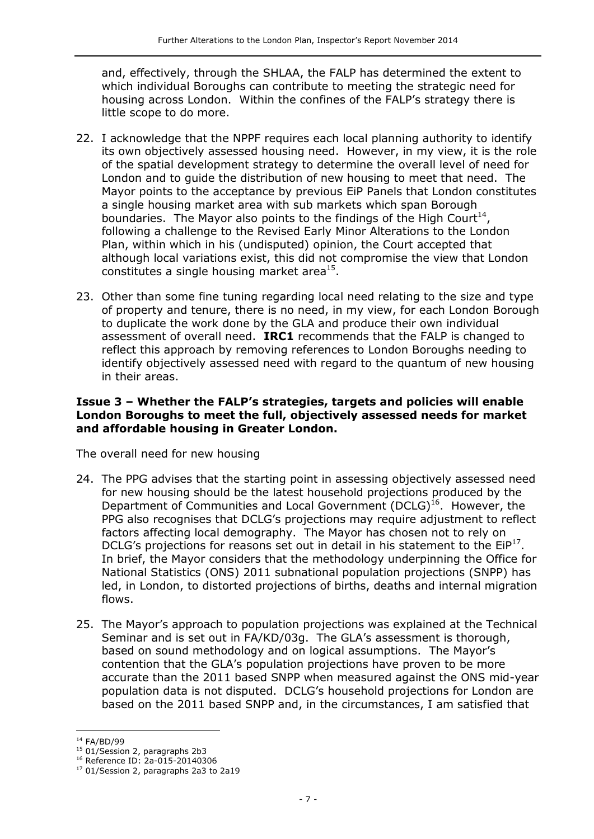and, effectively, through the SHLAA, the FALP has determined the extent to which individual Boroughs can contribute to meeting the strategic need for housing across London. Within the confines of the FALP's strategy there is little scope to do more.

- 22. I acknowledge that the NPPF requires each local planning authority to identify its own objectively assessed housing need. However, in my view, it is the role of the spatial development strategy to determine the overall level of need for London and to guide the distribution of new housing to meet that need. The Mayor points to the acceptance by previous EiP Panels that London constitutes a single housing market area with sub markets which span Borough boundaries. The Mayor also points to the findings of the High Court<sup>14</sup>, following a challenge to the Revised Early Minor Alterations to the London Plan, within which in his (undisputed) opinion, the Court accepted that although local variations exist, this did not compromise the view that London constitutes a single housing market area<sup>15</sup>.
- 23. Other than some fine tuning regarding local need relating to the size and type of property and tenure, there is no need, in my view, for each London Borough to duplicate the work done by the GLA and produce their own individual assessment of overall need. **IRC1** recommends that the FALP is changed to reflect this approach by removing references to London Boroughs needing to identify objectively assessed need with regard to the quantum of new housing in their areas.

#### **Issue 3 – Whether the FALP's strategies, targets and policies will enable London Boroughs to meet the full, objectively assessed needs for market and affordable housing in Greater London.**

The overall need for new housing

- 24. The PPG advises that the starting point in assessing objectively assessed need for new housing should be the latest household projections produced by the Department of Communities and Local Government  $(DCLG)^{16}$ . However, the PPG also recognises that DCLG's projections may require adjustment to reflect factors affecting local demography. The Mayor has chosen not to rely on DCLG's projections for reasons set out in detail in his statement to the  $EIP<sup>17</sup>$ . In brief, the Mayor considers that the methodology underpinning the Office for National Statistics (ONS) 2011 subnational population projections (SNPP) has led, in London, to distorted projections of births, deaths and internal migration flows.
- 25. The Mayor's approach to population projections was explained at the Technical Seminar and is set out in FA/KD/03g. The GLA's assessment is thorough, based on sound methodology and on logical assumptions. The Mayor's contention that the GLA's population projections have proven to be more accurate than the 2011 based SNPP when measured against the ONS mid-year population data is not disputed. DCLG's household projections for London are based on the 2011 based SNPP and, in the circumstances, I am satisfied that

j <sup>14</sup> FA/BD/99

<sup>&</sup>lt;sup>15</sup> 01/Session 2, paragraphs 2b3

<sup>16</sup> Reference ID: 2a-015-20140306

<sup>&</sup>lt;sup>17</sup> 01/Session 2, paragraphs 2a3 to 2a19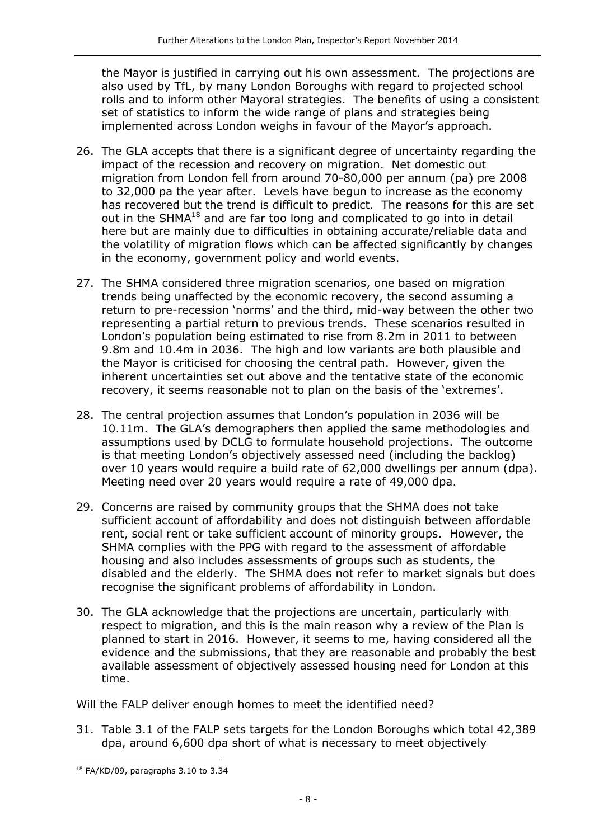the Mayor is justified in carrying out his own assessment. The projections are also used by TfL, by many London Boroughs with regard to projected school rolls and to inform other Mayoral strategies. The benefits of using a consistent set of statistics to inform the wide range of plans and strategies being implemented across London weighs in favour of the Mayor's approach.

- 26. The GLA accepts that there is a significant degree of uncertainty regarding the impact of the recession and recovery on migration. Net domestic out migration from London fell from around 70-80,000 per annum (pa) pre 2008 to 32,000 pa the year after. Levels have begun to increase as the economy has recovered but the trend is difficult to predict. The reasons for this are set out in the SHMA<sup>18</sup> and are far too long and complicated to go into in detail here but are mainly due to difficulties in obtaining accurate/reliable data and the volatility of migration flows which can be affected significantly by changes in the economy, government policy and world events.
- 27. The SHMA considered three migration scenarios, one based on migration trends being unaffected by the economic recovery, the second assuming a return to pre-recession 'norms' and the third, mid-way between the other two representing a partial return to previous trends. These scenarios resulted in London's population being estimated to rise from 8.2m in 2011 to between 9.8m and 10.4m in 2036. The high and low variants are both plausible and the Mayor is criticised for choosing the central path. However, given the inherent uncertainties set out above and the tentative state of the economic recovery, it seems reasonable not to plan on the basis of the 'extremes'.
- 28. The central projection assumes that London's population in 2036 will be 10.11m. The GLA's demographers then applied the same methodologies and assumptions used by DCLG to formulate household projections. The outcome is that meeting London's objectively assessed need (including the backlog) over 10 years would require a build rate of 62,000 dwellings per annum (dpa). Meeting need over 20 years would require a rate of 49,000 dpa.
- 29. Concerns are raised by community groups that the SHMA does not take sufficient account of affordability and does not distinguish between affordable rent, social rent or take sufficient account of minority groups. However, the SHMA complies with the PPG with regard to the assessment of affordable housing and also includes assessments of groups such as students, the disabled and the elderly. The SHMA does not refer to market signals but does recognise the significant problems of affordability in London.
- 30. The GLA acknowledge that the projections are uncertain, particularly with respect to migration, and this is the main reason why a review of the Plan is planned to start in 2016. However, it seems to me, having considered all the evidence and the submissions, that they are reasonable and probably the best available assessment of objectively assessed housing need for London at this time.

Will the FALP deliver enough homes to meet the identified need?

31. Table 3.1 of the FALP sets targets for the London Boroughs which total 42,389 dpa, around 6,600 dpa short of what is necessary to meet objectively

<sup>18</sup> FA/KD/09, paragraphs 3.10 to 3.34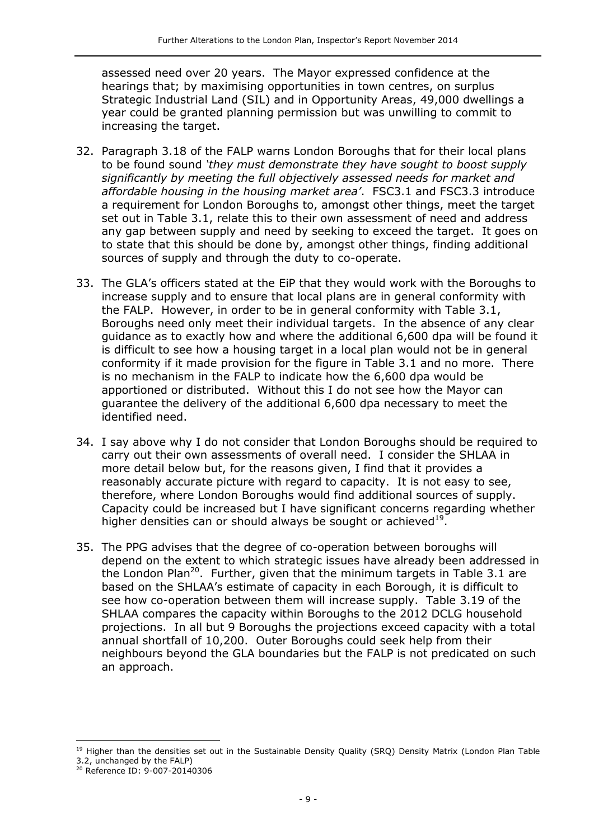assessed need over 20 years. The Mayor expressed confidence at the hearings that; by maximising opportunities in town centres, on surplus Strategic Industrial Land (SIL) and in Opportunity Areas, 49,000 dwellings a year could be granted planning permission but was unwilling to commit to increasing the target.

- 32. Paragraph 3.18 of the FALP warns London Boroughs that for their local plans to be found sound *'they must demonstrate they have sought to boost supply significantly by meeting the full objectively assessed needs for market and affordable housing in the housing market area'*. FSC3.1 and FSC3.3 introduce a requirement for London Boroughs to, amongst other things, meet the target set out in Table 3.1, relate this to their own assessment of need and address any gap between supply and need by seeking to exceed the target. It goes on to state that this should be done by, amongst other things, finding additional sources of supply and through the duty to co-operate.
- 33. The GLA's officers stated at the EiP that they would work with the Boroughs to increase supply and to ensure that local plans are in general conformity with the FALP. However, in order to be in general conformity with Table 3.1, Boroughs need only meet their individual targets. In the absence of any clear guidance as to exactly how and where the additional 6,600 dpa will be found it is difficult to see how a housing target in a local plan would not be in general conformity if it made provision for the figure in Table 3.1 and no more. There is no mechanism in the FALP to indicate how the 6,600 dpa would be apportioned or distributed. Without this I do not see how the Mayor can guarantee the delivery of the additional 6,600 dpa necessary to meet the identified need.
- 34. I say above why I do not consider that London Boroughs should be required to carry out their own assessments of overall need. I consider the SHLAA in more detail below but, for the reasons given, I find that it provides a reasonably accurate picture with regard to capacity. It is not easy to see, therefore, where London Boroughs would find additional sources of supply. Capacity could be increased but I have significant concerns regarding whether higher densities can or should always be sought or achieved $^{19}$ .
- 35. The PPG advises that the degree of co-operation between boroughs will depend on the extent to which strategic issues have already been addressed in the London Plan<sup>20</sup>. Further, given that the minimum targets in Table 3.1 are based on the SHLAA's estimate of capacity in each Borough, it is difficult to see how co-operation between them will increase supply. Table 3.19 of the SHLAA compares the capacity within Boroughs to the 2012 DCLG household projections. In all but 9 Boroughs the projections exceed capacity with a total annual shortfall of 10,200. Outer Boroughs could seek help from their neighbours beyond the GLA boundaries but the FALP is not predicated on such an approach.

<sup>&</sup>lt;sup>19</sup> Higher than the densities set out in the Sustainable Density Quality (SRQ) Density Matrix (London Plan Table 3.2, unchanged by the FALP)

<sup>20</sup> Reference ID: 9-007-20140306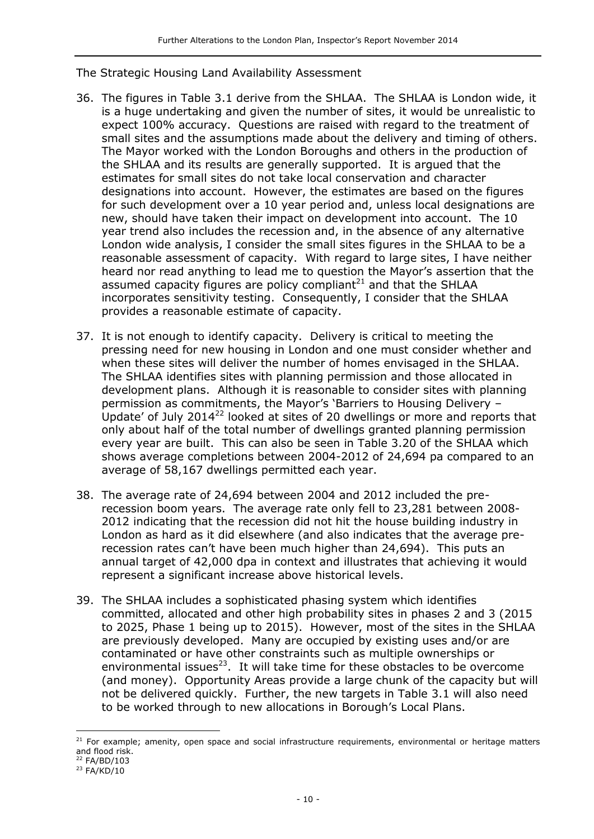The Strategic Housing Land Availability Assessment

- 36. The figures in Table 3.1 derive from the SHLAA. The SHLAA is London wide, it is a huge undertaking and given the number of sites, it would be unrealistic to expect 100% accuracy. Questions are raised with regard to the treatment of small sites and the assumptions made about the delivery and timing of others. The Mayor worked with the London Boroughs and others in the production of the SHLAA and its results are generally supported. It is argued that the estimates for small sites do not take local conservation and character designations into account. However, the estimates are based on the figures for such development over a 10 year period and, unless local designations are new, should have taken their impact on development into account. The 10 year trend also includes the recession and, in the absence of any alternative London wide analysis, I consider the small sites figures in the SHLAA to be a reasonable assessment of capacity. With regard to large sites, I have neither heard nor read anything to lead me to question the Mayor's assertion that the assumed capacity figures are policy compliant $^{21}$  and that the SHLAA incorporates sensitivity testing. Consequently, I consider that the SHLAA provides a reasonable estimate of capacity.
- 37. It is not enough to identify capacity. Delivery is critical to meeting the pressing need for new housing in London and one must consider whether and when these sites will deliver the number of homes envisaged in the SHLAA. The SHLAA identifies sites with planning permission and those allocated in development plans. Although it is reasonable to consider sites with planning permission as commitments, the Mayor's 'Barriers to Housing Delivery – Update' of July 2014<sup>22</sup> looked at sites of 20 dwellings or more and reports that only about half of the total number of dwellings granted planning permission every year are built. This can also be seen in Table 3.20 of the SHLAA which shows average completions between 2004-2012 of 24,694 pa compared to an average of 58,167 dwellings permitted each year.
- 38. The average rate of 24,694 between 2004 and 2012 included the prerecession boom years. The average rate only fell to 23,281 between 2008- 2012 indicating that the recession did not hit the house building industry in London as hard as it did elsewhere (and also indicates that the average prerecession rates can't have been much higher than 24,694). This puts an annual target of 42,000 dpa in context and illustrates that achieving it would represent a significant increase above historical levels.
- 39. The SHLAA includes a sophisticated phasing system which identifies committed, allocated and other high probability sites in phases 2 and 3 (2015 to 2025, Phase 1 being up to 2015). However, most of the sites in the SHLAA are previously developed. Many are occupied by existing uses and/or are contaminated or have other constraints such as multiple ownerships or environmental issues $^{23}$ . It will take time for these obstacles to be overcome (and money). Opportunity Areas provide a large chunk of the capacity but will not be delivered quickly. Further, the new targets in Table 3.1 will also need to be worked through to new allocations in Borough's Local Plans.

 $21$  For example; amenity, open space and social infrastructure requirements, environmental or heritage matters and flood risk.

<sup>22</sup> FA/BD/103

 $23$  FA/KD/10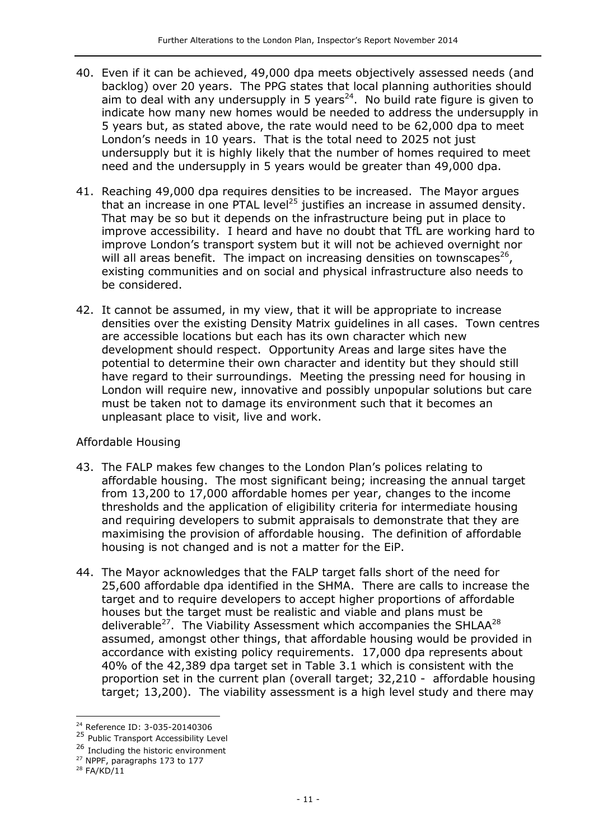- 40. Even if it can be achieved, 49,000 dpa meets objectively assessed needs (and backlog) over 20 years. The PPG states that local planning authorities should aim to deal with any undersupply in 5 years<sup>24</sup>. No build rate figure is given to indicate how many new homes would be needed to address the undersupply in 5 years but, as stated above, the rate would need to be 62,000 dpa to meet London's needs in 10 years. That is the total need to 2025 not just undersupply but it is highly likely that the number of homes required to meet need and the undersupply in 5 years would be greater than 49,000 dpa.
- 41. Reaching 49,000 dpa requires densities to be increased. The Mayor argues that an increase in one PTAL level<sup>25</sup> justifies an increase in assumed density. That may be so but it depends on the infrastructure being put in place to improve accessibility. I heard and have no doubt that TfL are working hard to improve London's transport system but it will not be achieved overnight nor will all areas benefit. The impact on increasing densities on townscapes<sup>26</sup>, existing communities and on social and physical infrastructure also needs to be considered.
- 42. It cannot be assumed, in my view, that it will be appropriate to increase densities over the existing Density Matrix guidelines in all cases. Town centres are accessible locations but each has its own character which new development should respect. Opportunity Areas and large sites have the potential to determine their own character and identity but they should still have regard to their surroundings. Meeting the pressing need for housing in London will require new, innovative and possibly unpopular solutions but care must be taken not to damage its environment such that it becomes an unpleasant place to visit, live and work.

#### Affordable Housing

- 43. The FALP makes few changes to the London Plan's polices relating to affordable housing. The most significant being; increasing the annual target from 13,200 to 17,000 affordable homes per year, changes to the income thresholds and the application of eligibility criteria for intermediate housing and requiring developers to submit appraisals to demonstrate that they are maximising the provision of affordable housing. The definition of affordable housing is not changed and is not a matter for the EiP.
- 44. The Mayor acknowledges that the FALP target falls short of the need for 25,600 affordable dpa identified in the SHMA. There are calls to increase the target and to require developers to accept higher proportions of affordable houses but the target must be realistic and viable and plans must be deliverable<sup>27</sup>. The Viability Assessment which accompanies the SHLAA<sup>28</sup> assumed, amongst other things, that affordable housing would be provided in accordance with existing policy requirements. 17,000 dpa represents about 40% of the 42,389 dpa target set in Table 3.1 which is consistent with the proportion set in the current plan (overall target; 32,210 - affordable housing target; 13,200). The viability assessment is a high level study and there may

 $\overline{a}$ <sup>24</sup> Reference ID: 3-035-20140306

<sup>25</sup> Public Transport Accessibility Level

<sup>&</sup>lt;sup>26</sup> Including the historic environment

<sup>27</sup> NPPF, paragraphs 173 to 177

<sup>28</sup> FA/KD/11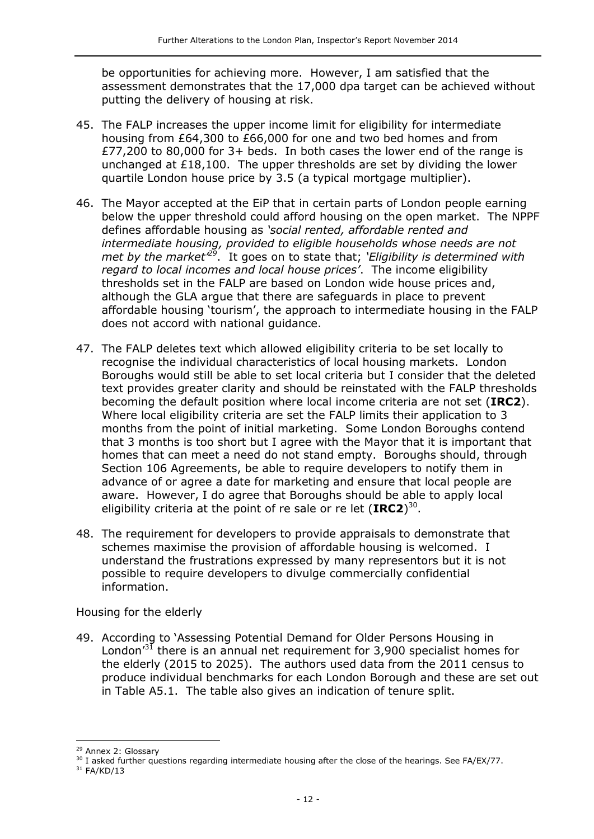be opportunities for achieving more. However, I am satisfied that the assessment demonstrates that the 17,000 dpa target can be achieved without putting the delivery of housing at risk.

- 45. The FALP increases the upper income limit for eligibility for intermediate housing from £64,300 to £66,000 for one and two bed homes and from £77,200 to 80,000 for 3+ beds. In both cases the lower end of the range is unchanged at £18,100. The upper thresholds are set by dividing the lower quartile London house price by 3.5 (a typical mortgage multiplier).
- 46. The Mayor accepted at the EiP that in certain parts of London people earning below the upper threshold could afford housing on the open market. The NPPF defines affordable housing as *'social rented, affordable rented and intermediate housing, provided to eligible households whose needs are not met by the market'<sup>29</sup>*. It goes on to state that; *'Eligibility is determined with regard to local incomes and local house prices'*. The income eligibility thresholds set in the FALP are based on London wide house prices and, although the GLA argue that there are safeguards in place to prevent affordable housing 'tourism', the approach to intermediate housing in the FALP does not accord with national guidance.
- 47. The FALP deletes text which allowed eligibility criteria to be set locally to recognise the individual characteristics of local housing markets. London Boroughs would still be able to set local criteria but I consider that the deleted text provides greater clarity and should be reinstated with the FALP thresholds becoming the default position where local income criteria are not set (**IRC2**). Where local eligibility criteria are set the FALP limits their application to 3 months from the point of initial marketing. Some London Boroughs contend that 3 months is too short but I agree with the Mayor that it is important that homes that can meet a need do not stand empty. Boroughs should, through Section 106 Agreements, be able to require developers to notify them in advance of or agree a date for marketing and ensure that local people are aware. However, I do agree that Boroughs should be able to apply local eligibility criteria at the point of re sale or re let (**IRC2**) 30 .
- 48. The requirement for developers to provide appraisals to demonstrate that schemes maximise the provision of affordable housing is welcomed. I understand the frustrations expressed by many representors but it is not possible to require developers to divulge commercially confidential information.

Housing for the elderly

49. According to 'Assessing Potential Demand for Older Persons Housing in London<sup> $31$ </sup> there is an annual net requirement for 3,900 specialist homes for the elderly (2015 to 2025). The authors used data from the 2011 census to produce individual benchmarks for each London Borough and these are set out in Table A5.1. The table also gives an indication of tenure split.

<sup>&</sup>lt;sup>29</sup> Annex 2: Glossary

<sup>&</sup>lt;sup>30</sup> I asked further questions regarding intermediate housing after the close of the hearings. See FA/EX/77.

 $31$  FA/KD/13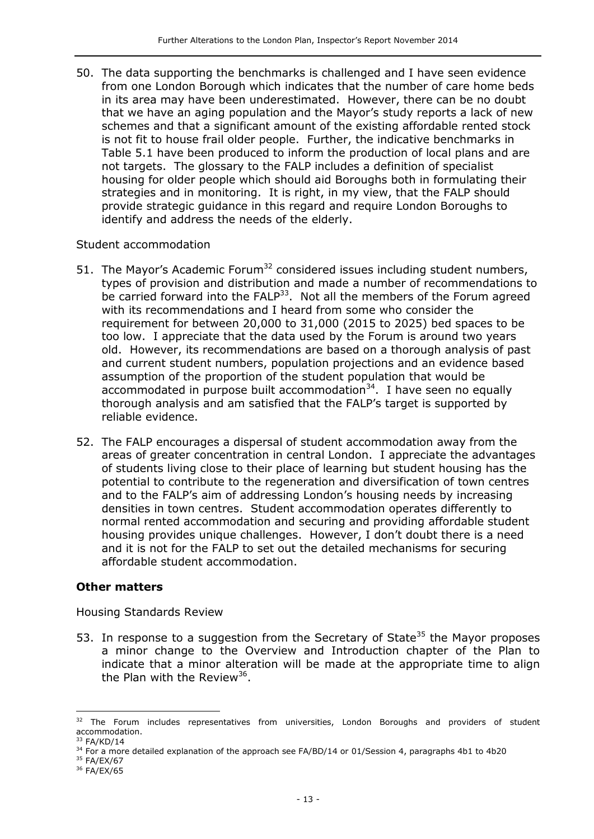50. The data supporting the benchmarks is challenged and I have seen evidence from one London Borough which indicates that the number of care home beds in its area may have been underestimated. However, there can be no doubt that we have an aging population and the Mayor's study reports a lack of new schemes and that a significant amount of the existing affordable rented stock is not fit to house frail older people. Further, the indicative benchmarks in Table 5.1 have been produced to inform the production of local plans and are not targets. The glossary to the FALP includes a definition of specialist housing for older people which should aid Boroughs both in formulating their strategies and in monitoring. It is right, in my view, that the FALP should provide strategic guidance in this regard and require London Boroughs to identify and address the needs of the elderly.

#### Student accommodation

- 51. The Mayor's Academic Forum<sup>32</sup> considered issues including student numbers, types of provision and distribution and made a number of recommendations to be carried forward into the  $FALP<sup>33</sup>$ . Not all the members of the Forum agreed with its recommendations and I heard from some who consider the requirement for between 20,000 to 31,000 (2015 to 2025) bed spaces to be too low. I appreciate that the data used by the Forum is around two years old. However, its recommendations are based on a thorough analysis of past and current student numbers, population projections and an evidence based assumption of the proportion of the student population that would be accommodated in purpose built accommodation<sup>34</sup>. I have seen no equally thorough analysis and am satisfied that the FALP's target is supported by reliable evidence.
- 52. The FALP encourages a dispersal of student accommodation away from the areas of greater concentration in central London. I appreciate the advantages of students living close to their place of learning but student housing has the potential to contribute to the regeneration and diversification of town centres and to the FALP's aim of addressing London's housing needs by increasing densities in town centres. Student accommodation operates differently to normal rented accommodation and securing and providing affordable student housing provides unique challenges. However, I don't doubt there is a need and it is not for the FALP to set out the detailed mechanisms for securing affordable student accommodation.

#### **Other matters**

Housing Standards Review

53. In response to a suggestion from the Secretary of State<sup>35</sup> the Mayor proposes a minor change to the Overview and Introduction chapter of the Plan to indicate that a minor alteration will be made at the appropriate time to align the Plan with the Review<sup>36</sup>.

 $\overline{a}$ 

<sup>&</sup>lt;sup>32</sup> The Forum includes representatives from universities, London Boroughs and providers of student accommodation.  $33$  FA/KD/14

<sup>&</sup>lt;sup>34</sup> For a more detailed explanation of the approach see FA/BD/14 or 01/Session 4, paragraphs 4b1 to 4b20

<sup>&</sup>lt;sup>35</sup> FA/EX/67

<sup>36</sup> FA/EX/65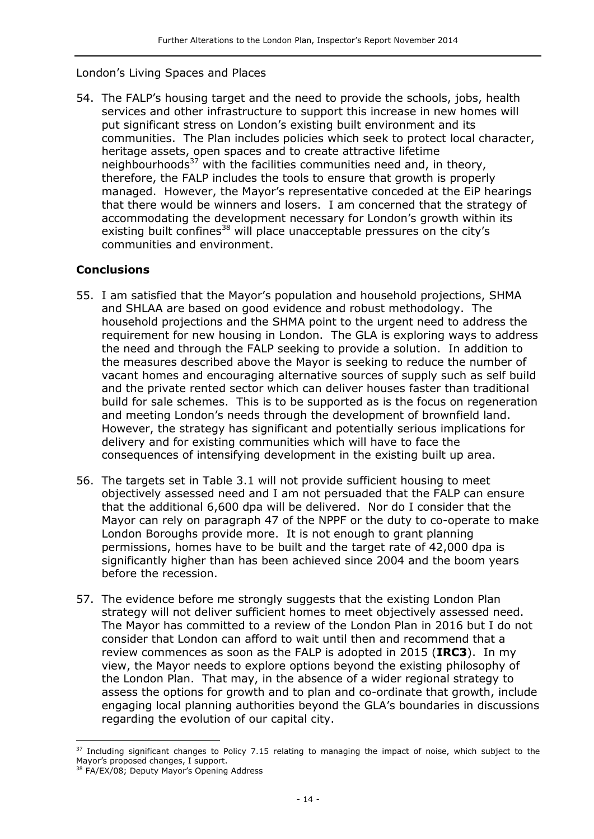#### London's Living Spaces and Places

54. The FALP's housing target and the need to provide the schools, jobs, health services and other infrastructure to support this increase in new homes will put significant stress on London's existing built environment and its communities. The Plan includes policies which seek to protect local character, heritage assets, open spaces and to create attractive lifetime neighbourhoods<sup>37</sup> with the facilities communities need and, in theory, therefore, the FALP includes the tools to ensure that growth is properly managed. However, the Mayor's representative conceded at the EiP hearings that there would be winners and losers. I am concerned that the strategy of accommodating the development necessary for London's growth within its existing built confines<sup>38</sup> will place unacceptable pressures on the city's communities and environment.

#### **Conclusions**

- 55. I am satisfied that the Mayor's population and household projections, SHMA and SHLAA are based on good evidence and robust methodology. The household projections and the SHMA point to the urgent need to address the requirement for new housing in London. The GLA is exploring ways to address the need and through the FALP seeking to provide a solution. In addition to the measures described above the Mayor is seeking to reduce the number of vacant homes and encouraging alternative sources of supply such as self build and the private rented sector which can deliver houses faster than traditional build for sale schemes. This is to be supported as is the focus on regeneration and meeting London's needs through the development of brownfield land. However, the strategy has significant and potentially serious implications for delivery and for existing communities which will have to face the consequences of intensifying development in the existing built up area.
- 56. The targets set in Table 3.1 will not provide sufficient housing to meet objectively assessed need and I am not persuaded that the FALP can ensure that the additional 6,600 dpa will be delivered. Nor do I consider that the Mayor can rely on paragraph 47 of the NPPF or the duty to co-operate to make London Boroughs provide more. It is not enough to grant planning permissions, homes have to be built and the target rate of 42,000 dpa is significantly higher than has been achieved since 2004 and the boom years before the recession.
- 57. The evidence before me strongly suggests that the existing London Plan strategy will not deliver sufficient homes to meet objectively assessed need. The Mayor has committed to a review of the London Plan in 2016 but I do not consider that London can afford to wait until then and recommend that a review commences as soon as the FALP is adopted in 2015 (**IRC3**). In my view, the Mayor needs to explore options beyond the existing philosophy of the London Plan. That may, in the absence of a wider regional strategy to assess the options for growth and to plan and co-ordinate that growth, include engaging local planning authorities beyond the GLA's boundaries in discussions regarding the evolution of our capital city.

<sup>&</sup>lt;sup>37</sup> Including significant changes to Policy 7.15 relating to managing the impact of noise, which subject to the Mayor's proposed changes, I support.

<sup>&</sup>lt;sup>38</sup> FA/EX/08; Deputy Mayor's Opening Address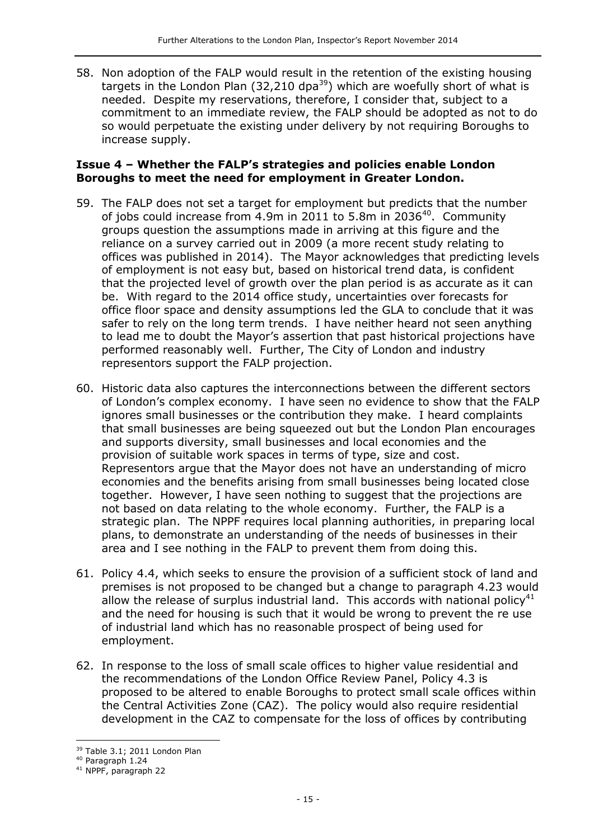58. Non adoption of the FALP would result in the retention of the existing housing targets in the London Plan (32,210 dpa<sup>39</sup>) which are woefully short of what is needed. Despite my reservations, therefore, I consider that, subject to a commitment to an immediate review, the FALP should be adopted as not to do so would perpetuate the existing under delivery by not requiring Boroughs to increase supply.

#### **Issue 4 – Whether the FALP's strategies and policies enable London Boroughs to meet the need for employment in Greater London.**

- 59. The FALP does not set a target for employment but predicts that the number of jobs could increase from 4.9m in 2011 to 5.8m in 2036<sup>40</sup>. Community groups question the assumptions made in arriving at this figure and the reliance on a survey carried out in 2009 (a more recent study relating to offices was published in 2014). The Mayor acknowledges that predicting levels of employment is not easy but, based on historical trend data, is confident that the projected level of growth over the plan period is as accurate as it can be. With regard to the 2014 office study, uncertainties over forecasts for office floor space and density assumptions led the GLA to conclude that it was safer to rely on the long term trends. I have neither heard not seen anything to lead me to doubt the Mayor's assertion that past historical projections have performed reasonably well. Further, The City of London and industry representors support the FALP projection.
- 60. Historic data also captures the interconnections between the different sectors of London's complex economy. I have seen no evidence to show that the FALP ignores small businesses or the contribution they make. I heard complaints that small businesses are being squeezed out but the London Plan encourages and supports diversity, small businesses and local economies and the provision of suitable work spaces in terms of type, size and cost. Representors argue that the Mayor does not have an understanding of micro economies and the benefits arising from small businesses being located close together. However, I have seen nothing to suggest that the projections are not based on data relating to the whole economy. Further, the FALP is a strategic plan. The NPPF requires local planning authorities, in preparing local plans, to demonstrate an understanding of the needs of businesses in their area and I see nothing in the FALP to prevent them from doing this.
- 61. Policy 4.4, which seeks to ensure the provision of a sufficient stock of land and premises is not proposed to be changed but a change to paragraph 4.23 would allow the release of surplus industrial land. This accords with national policy<sup>41</sup> and the need for housing is such that it would be wrong to prevent the re use of industrial land which has no reasonable prospect of being used for employment.
- 62. In response to the loss of small scale offices to higher value residential and the recommendations of the London Office Review Panel, Policy 4.3 is proposed to be altered to enable Boroughs to protect small scale offices within the Central Activities Zone (CAZ). The policy would also require residential development in the CAZ to compensate for the loss of offices by contributing

j 39 Table 3.1; 2011 London Plan

<sup>40</sup> Paragraph 1.24

<sup>41</sup> NPPF, paragraph 22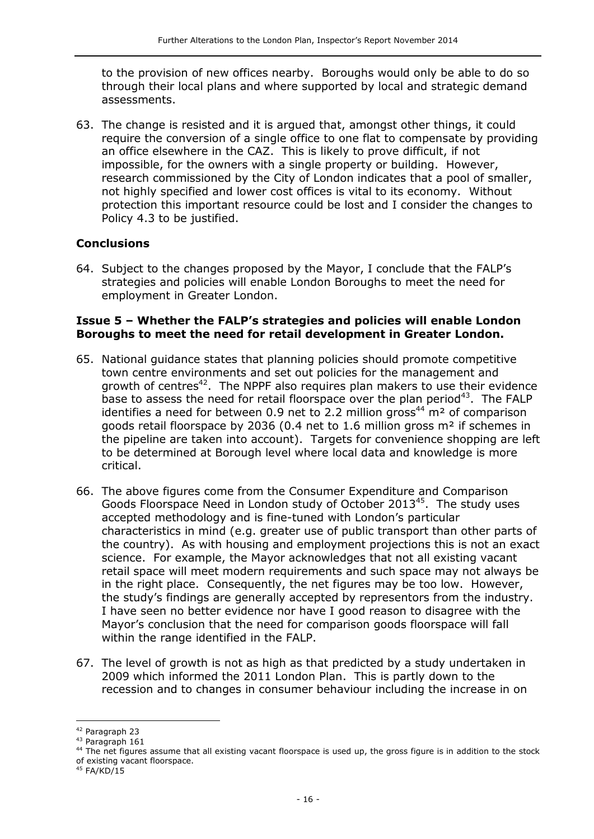to the provision of new offices nearby. Boroughs would only be able to do so through their local plans and where supported by local and strategic demand assessments.

63. The change is resisted and it is argued that, amongst other things, it could require the conversion of a single office to one flat to compensate by providing an office elsewhere in the CAZ. This is likely to prove difficult, if not impossible, for the owners with a single property or building. However, research commissioned by the City of London indicates that a pool of smaller, not highly specified and lower cost offices is vital to its economy. Without protection this important resource could be lost and I consider the changes to Policy 4.3 to be justified.

#### **Conclusions**

64. Subject to the changes proposed by the Mayor, I conclude that the FALP's strategies and policies will enable London Boroughs to meet the need for employment in Greater London.

#### **Issue 5 – Whether the FALP's strategies and policies will enable London Boroughs to meet the need for retail development in Greater London.**

- 65. National guidance states that planning policies should promote competitive town centre environments and set out policies for the management and growth of centres<sup>42</sup>. The NPPF also requires plan makers to use their evidence base to assess the need for retail floorspace over the plan period<sup>43</sup>. The FALP identifies a need for between 0.9 net to 2.2 million gross<sup>44</sup> m<sup>2</sup> of comparison goods retail floorspace by 2036 (0.4 net to 1.6 million gross m² if schemes in the pipeline are taken into account). Targets for convenience shopping are left to be determined at Borough level where local data and knowledge is more critical.
- 66. The above figures come from the Consumer Expenditure and Comparison Goods Floorspace Need in London study of October 2013 $45$ . The study uses accepted methodology and is fine-tuned with London's particular characteristics in mind (e.g. greater use of public transport than other parts of the country). As with housing and employment projections this is not an exact science. For example, the Mayor acknowledges that not all existing vacant retail space will meet modern requirements and such space may not always be in the right place. Consequently, the net figures may be too low. However, the study's findings are generally accepted by representors from the industry. I have seen no better evidence nor have I good reason to disagree with the Mayor's conclusion that the need for comparison goods floorspace will fall within the range identified in the FALP.
- 67. The level of growth is not as high as that predicted by a study undertaken in 2009 which informed the 2011 London Plan. This is partly down to the recession and to changes in consumer behaviour including the increase in on

 $\overline{a}$ 

<sup>42</sup> Paragraph 23

<sup>43</sup> Paragraph 161

<sup>&</sup>lt;sup>44</sup> The net figures assume that all existing vacant floorspace is used up, the gross figure is in addition to the stock of existing vacant floorspace.

 $45$  FA/KD/15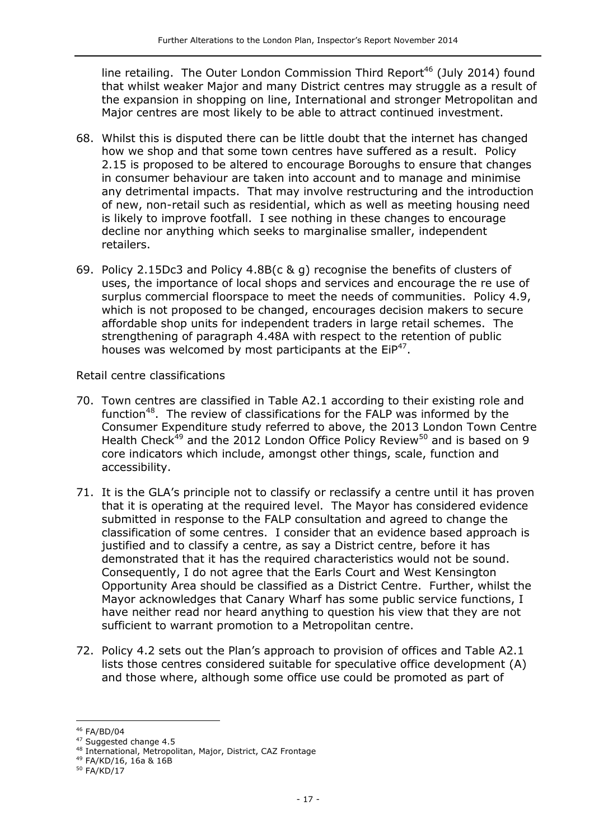line retailing. The Outer London Commission Third Report<sup>46</sup> (July 2014) found that whilst weaker Major and many District centres may struggle as a result of the expansion in shopping on line, International and stronger Metropolitan and Major centres are most likely to be able to attract continued investment.

- 68. Whilst this is disputed there can be little doubt that the internet has changed how we shop and that some town centres have suffered as a result. Policy 2.15 is proposed to be altered to encourage Boroughs to ensure that changes in consumer behaviour are taken into account and to manage and minimise any detrimental impacts. That may involve restructuring and the introduction of new, non-retail such as residential, which as well as meeting housing need is likely to improve footfall. I see nothing in these changes to encourage decline nor anything which seeks to marginalise smaller, independent retailers.
- 69. Policy 2.15Dc3 and Policy 4.8B(c & g) recognise the benefits of clusters of uses, the importance of local shops and services and encourage the re use of surplus commercial floorspace to meet the needs of communities. Policy 4.9, which is not proposed to be changed, encourages decision makers to secure affordable shop units for independent traders in large retail schemes. The strengthening of paragraph 4.48A with respect to the retention of public houses was welcomed by most participants at the  $EIP^{47}$ .

Retail centre classifications

- 70. Town centres are classified in Table A2.1 according to their existing role and function<sup>48</sup>. The review of classifications for the FALP was informed by the Consumer Expenditure study referred to above, the 2013 London Town Centre Health Check<sup>49</sup> and the 2012 London Office Policy Review<sup>50</sup> and is based on 9 core indicators which include, amongst other things, scale, function and accessibility.
- 71. It is the GLA's principle not to classify or reclassify a centre until it has proven that it is operating at the required level. The Mayor has considered evidence submitted in response to the FALP consultation and agreed to change the classification of some centres. I consider that an evidence based approach is justified and to classify a centre, as say a District centre, before it has demonstrated that it has the required characteristics would not be sound. Consequently, I do not agree that the Earls Court and West Kensington Opportunity Area should be classified as a District Centre. Further, whilst the Mayor acknowledges that Canary Wharf has some public service functions, I have neither read nor heard anything to question his view that they are not sufficient to warrant promotion to a Metropolitan centre.
- 72. Policy 4.2 sets out the Plan's approach to provision of offices and Table A2.1 lists those centres considered suitable for speculative office development (A) and those where, although some office use could be promoted as part of

 $\overline{a}$ <sup>46</sup> FA/BD/04

<sup>&</sup>lt;sup>47</sup> Suggested change 4.5

<sup>48</sup> International, Metropolitan, Major, District, CAZ Frontage

<sup>49</sup> FA/KD/16, 16a & 16B

<sup>50</sup> FA/KD/17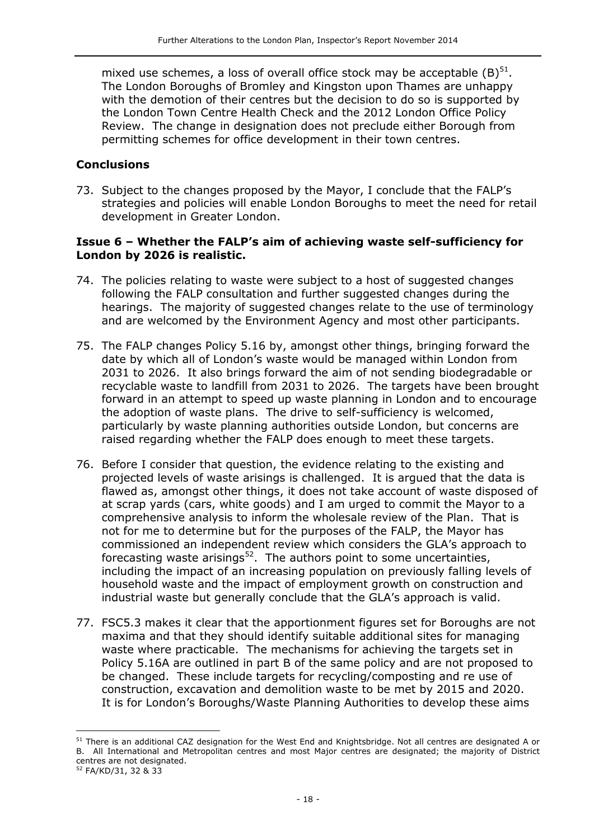mixed use schemes, a loss of overall office stock may be acceptable  $(B)^{51}$ . The London Boroughs of Bromley and Kingston upon Thames are unhappy with the demotion of their centres but the decision to do so is supported by the London Town Centre Health Check and the 2012 London Office Policy Review. The change in designation does not preclude either Borough from permitting schemes for office development in their town centres.

#### **Conclusions**

73. Subject to the changes proposed by the Mayor, I conclude that the FALP's strategies and policies will enable London Boroughs to meet the need for retail development in Greater London.

#### **Issue 6 – Whether the FALP's aim of achieving waste self-sufficiency for London by 2026 is realistic.**

- 74. The policies relating to waste were subject to a host of suggested changes following the FALP consultation and further suggested changes during the hearings. The majority of suggested changes relate to the use of terminology and are welcomed by the Environment Agency and most other participants.
- 75. The FALP changes Policy 5.16 by, amongst other things, bringing forward the date by which all of London's waste would be managed within London from 2031 to 2026. It also brings forward the aim of not sending biodegradable or recyclable waste to landfill from 2031 to 2026. The targets have been brought forward in an attempt to speed up waste planning in London and to encourage the adoption of waste plans. The drive to self-sufficiency is welcomed, particularly by waste planning authorities outside London, but concerns are raised regarding whether the FALP does enough to meet these targets.
- 76. Before I consider that question, the evidence relating to the existing and projected levels of waste arisings is challenged. It is argued that the data is flawed as, amongst other things, it does not take account of waste disposed of at scrap yards (cars, white goods) and I am urged to commit the Mayor to a comprehensive analysis to inform the wholesale review of the Plan. That is not for me to determine but for the purposes of the FALP, the Mayor has commissioned an independent review which considers the GLA's approach to forecasting waste arisings<sup>52</sup>. The authors point to some uncertainties, including the impact of an increasing population on previously falling levels of household waste and the impact of employment growth on construction and industrial waste but generally conclude that the GLA's approach is valid.
- 77. FSC5.3 makes it clear that the apportionment figures set for Boroughs are not maxima and that they should identify suitable additional sites for managing waste where practicable. The mechanisms for achieving the targets set in Policy 5.16A are outlined in part B of the same policy and are not proposed to be changed. These include targets for recycling/composting and re use of construction, excavation and demolition waste to be met by 2015 and 2020. It is for London's Boroughs/Waste Planning Authorities to develop these aims

<sup>&</sup>lt;sup>51</sup> There is an additional CAZ designation for the West End and Knightsbridge. Not all centres are designated A or B. All International and Metropolitan centres and most Major centres are designated; the majority of District centres are not designated.

<sup>52</sup> FA/KD/31, 32 & 33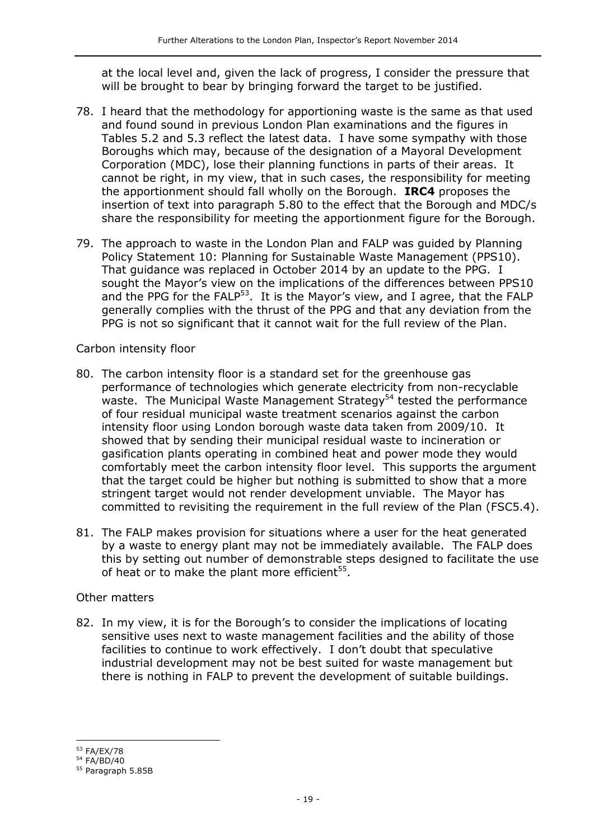at the local level and, given the lack of progress, I consider the pressure that will be brought to bear by bringing forward the target to be justified.

- 78. I heard that the methodology for apportioning waste is the same as that used and found sound in previous London Plan examinations and the figures in Tables 5.2 and 5.3 reflect the latest data. I have some sympathy with those Boroughs which may, because of the designation of a Mayoral Development Corporation (MDC), lose their planning functions in parts of their areas. It cannot be right, in my view, that in such cases, the responsibility for meeting the apportionment should fall wholly on the Borough. **IRC4** proposes the insertion of text into paragraph 5.80 to the effect that the Borough and MDC/s share the responsibility for meeting the apportionment figure for the Borough.
- 79. The approach to waste in the London Plan and FALP was guided by Planning Policy Statement 10: Planning for Sustainable Waste Management (PPS10). That guidance was replaced in October 2014 by an update to the PPG. I sought the Mayor's view on the implications of the differences between PPS10 and the PPG for the FALP<sup>53</sup>. It is the Mayor's view, and I agree, that the FALP generally complies with the thrust of the PPG and that any deviation from the PPG is not so significant that it cannot wait for the full review of the Plan.

Carbon intensity floor

- 80. The carbon intensity floor is a standard set for the greenhouse gas performance of technologies which generate electricity from non-recyclable waste. The Municipal Waste Management Strategy<sup>54</sup> tested the performance of four residual municipal waste treatment scenarios against the carbon intensity floor using London borough waste data taken from 2009/10. It showed that by sending their municipal residual waste to incineration or gasification plants operating in combined heat and power mode they would comfortably meet the carbon intensity floor level. This supports the argument that the target could be higher but nothing is submitted to show that a more stringent target would not render development unviable. The Mayor has committed to revisiting the requirement in the full review of the Plan (FSC5.4).
- 81. The FALP makes provision for situations where a user for the heat generated by a waste to energy plant may not be immediately available. The FALP does this by setting out number of demonstrable steps designed to facilitate the use of heat or to make the plant more efficient<sup>55</sup>.

#### Other matters

82. In my view, it is for the Borough's to consider the implications of locating sensitive uses next to waste management facilities and the ability of those facilities to continue to work effectively. I don't doubt that speculative industrial development may not be best suited for waste management but there is nothing in FALP to prevent the development of suitable buildings.

j <sup>53</sup> FA/EX/78

<sup>54</sup> FA/BD/40

<sup>55</sup> Paragraph 5.85B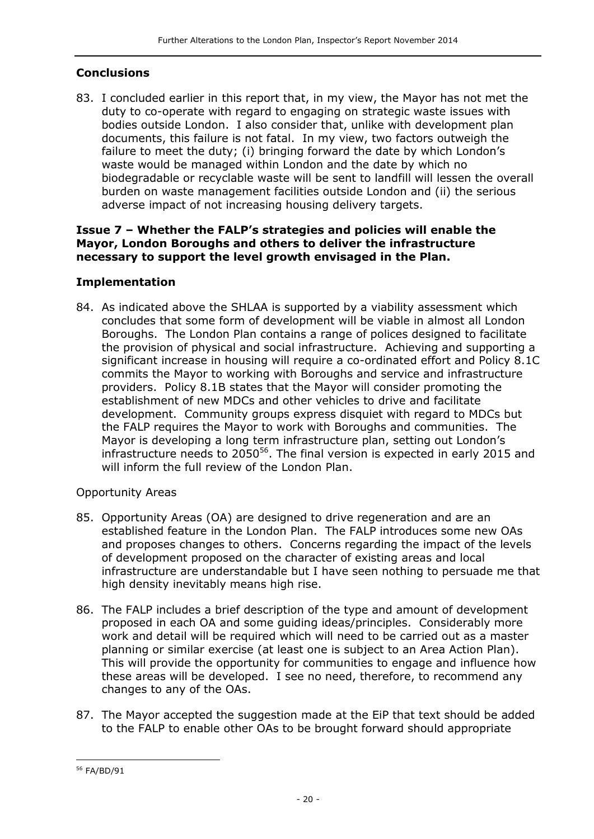#### **Conclusions**

83. I concluded earlier in this report that, in my view, the Mayor has not met the duty to co-operate with regard to engaging on strategic waste issues with bodies outside London. I also consider that, unlike with development plan documents, this failure is not fatal. In my view, two factors outweigh the failure to meet the duty; (i) bringing forward the date by which London's waste would be managed within London and the date by which no biodegradable or recyclable waste will be sent to landfill will lessen the overall burden on waste management facilities outside London and (ii) the serious adverse impact of not increasing housing delivery targets.

#### **Issue 7 – Whether the FALP's strategies and policies will enable the Mayor, London Boroughs and others to deliver the infrastructure necessary to support the level growth envisaged in the Plan.**

#### **Implementation**

84. As indicated above the SHLAA is supported by a viability assessment which concludes that some form of development will be viable in almost all London Boroughs. The London Plan contains a range of polices designed to facilitate the provision of physical and social infrastructure. Achieving and supporting a significant increase in housing will require a co-ordinated effort and Policy 8.1C commits the Mayor to working with Boroughs and service and infrastructure providers. Policy 8.1B states that the Mayor will consider promoting the establishment of new MDCs and other vehicles to drive and facilitate development. Community groups express disquiet with regard to MDCs but the FALP requires the Mayor to work with Boroughs and communities. The Mayor is developing a long term infrastructure plan, setting out London's infrastructure needs to  $2050^{56}$ . The final version is expected in early 2015 and will inform the full review of the London Plan.

#### Opportunity Areas

- 85. Opportunity Areas (OA) are designed to drive regeneration and are an established feature in the London Plan. The FALP introduces some new OAs and proposes changes to others. Concerns regarding the impact of the levels of development proposed on the character of existing areas and local infrastructure are understandable but I have seen nothing to persuade me that high density inevitably means high rise.
- 86. The FALP includes a brief description of the type and amount of development proposed in each OA and some guiding ideas/principles. Considerably more work and detail will be required which will need to be carried out as a master planning or similar exercise (at least one is subject to an Area Action Plan). This will provide the opportunity for communities to engage and influence how these areas will be developed. I see no need, therefore, to recommend any changes to any of the OAs.
- 87. The Mayor accepted the suggestion made at the EiP that text should be added to the FALP to enable other OAs to be brought forward should appropriate

j <sup>56</sup> FA/BD/91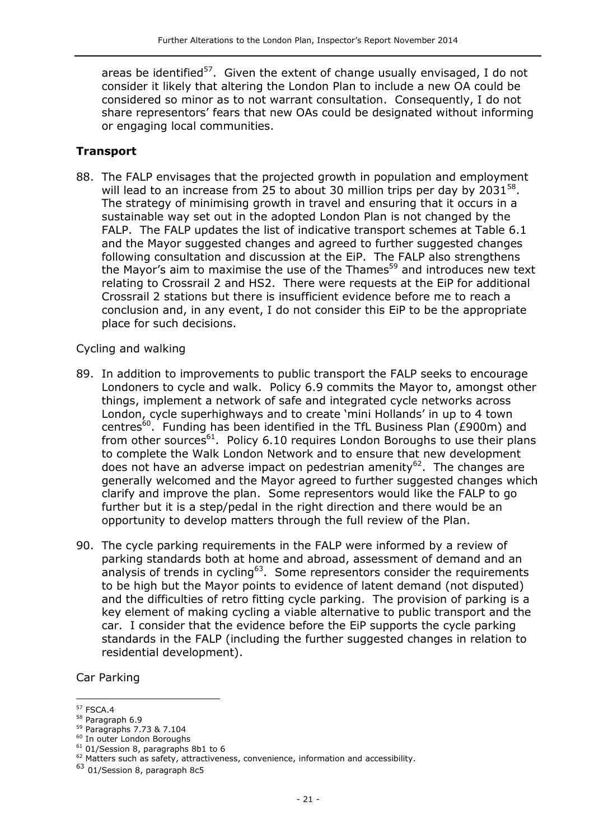areas be identified<sup>57</sup>. Given the extent of change usually envisaged, I do not consider it likely that altering the London Plan to include a new OA could be considered so minor as to not warrant consultation. Consequently, I do not share representors' fears that new OAs could be designated without informing or engaging local communities.

#### **Transport**

88. The FALP envisages that the projected growth in population and employment will lead to an increase from 25 to about 30 million trips per day by 2031 $^{58}$ . The strategy of minimising growth in travel and ensuring that it occurs in a sustainable way set out in the adopted London Plan is not changed by the FALP. The FALP updates the list of indicative transport schemes at Table 6.1 and the Mayor suggested changes and agreed to further suggested changes following consultation and discussion at the EiP. The FALP also strengthens the Mayor's aim to maximise the use of the Thames<sup>59</sup> and introduces new text relating to Crossrail 2 and HS2. There were requests at the EiP for additional Crossrail 2 stations but there is insufficient evidence before me to reach a conclusion and, in any event, I do not consider this EiP to be the appropriate place for such decisions.

#### Cycling and walking

- 89. In addition to improvements to public transport the FALP seeks to encourage Londoners to cycle and walk. Policy 6.9 commits the Mayor to, amongst other things, implement a network of safe and integrated cycle networks across London, cycle superhighways and to create 'mini Hollands' in up to 4 town centres<sup>60</sup>. Funding has been identified in the TfL Business Plan (£900m) and from other sources $61$ . Policy 6.10 requires London Boroughs to use their plans to complete the Walk London Network and to ensure that new development does not have an adverse impact on pedestrian amenity $62$ . The changes are generally welcomed and the Mayor agreed to further suggested changes which clarify and improve the plan. Some representors would like the FALP to go further but it is a step/pedal in the right direction and there would be an opportunity to develop matters through the full review of the Plan.
- 90. The cycle parking requirements in the FALP were informed by a review of parking standards both at home and abroad, assessment of demand and an analysis of trends in cycling<sup>63</sup>. Some representors consider the requirements to be high but the Mayor points to evidence of latent demand (not disputed) and the difficulties of retro fitting cycle parking. The provision of parking is a key element of making cycling a viable alternative to public transport and the car. I consider that the evidence before the EiP supports the cycle parking standards in the FALP (including the further suggested changes in relation to residential development).

Car Parking

j <sup>57</sup> FSCA.4

<sup>58</sup> Paragraph 6.9

<sup>59</sup> Paragraphs 7.73 & 7.104

<sup>60</sup> In outer London Boroughs

 $61$  01/Session 8, paragraphs 8b1 to 6

 $62$  Matters such as safety, attractiveness, convenience, information and accessibility.

<sup>63</sup> 01/Session 8, paragraph 8c5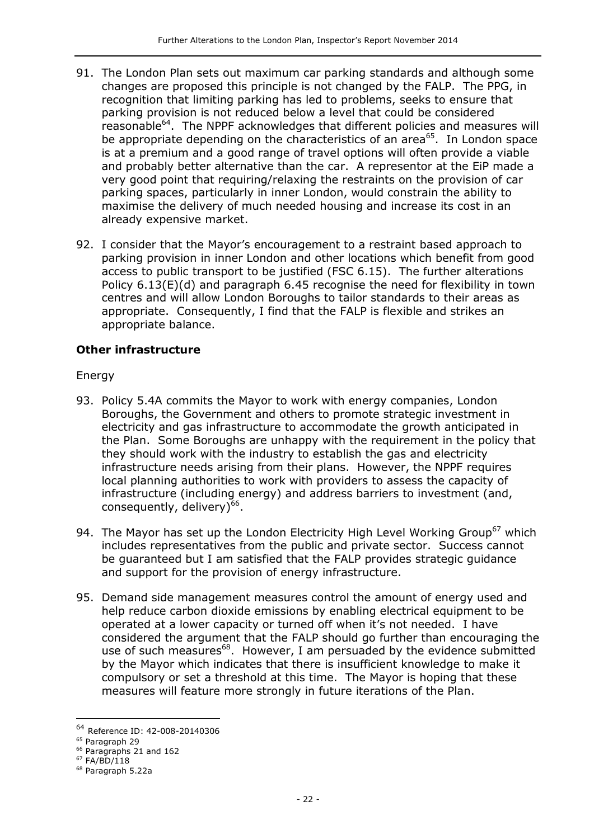- 91. The London Plan sets out maximum car parking standards and although some changes are proposed this principle is not changed by the FALP. The PPG, in recognition that limiting parking has led to problems, seeks to ensure that parking provision is not reduced below a level that could be considered reasonable<sup>64</sup>. The NPPF acknowledges that different policies and measures will be appropriate depending on the characteristics of an area<sup>65</sup>. In London space is at a premium and a good range of travel options will often provide a viable and probably better alternative than the car. A representor at the EiP made a very good point that requiring/relaxing the restraints on the provision of car parking spaces, particularly in inner London, would constrain the ability to maximise the delivery of much needed housing and increase its cost in an already expensive market.
- 92. I consider that the Mayor's encouragement to a restraint based approach to parking provision in inner London and other locations which benefit from good access to public transport to be justified (FSC 6.15). The further alterations Policy 6.13(E)(d) and paragraph 6.45 recognise the need for flexibility in town centres and will allow London Boroughs to tailor standards to their areas as appropriate. Consequently, I find that the FALP is flexible and strikes an appropriate balance.

### **Other infrastructure**

Energy

- 93. Policy 5.4A commits the Mayor to work with energy companies, London Boroughs, the Government and others to promote strategic investment in electricity and gas infrastructure to accommodate the growth anticipated in the Plan. Some Boroughs are unhappy with the requirement in the policy that they should work with the industry to establish the gas and electricity infrastructure needs arising from their plans. However, the NPPF requires local planning authorities to work with providers to assess the capacity of infrastructure (including energy) and address barriers to investment (and, consequently, delivery)<sup>66</sup>.
- 94. The Mayor has set up the London Electricity High Level Working Group<sup>67</sup> which includes representatives from the public and private sector. Success cannot be guaranteed but I am satisfied that the FALP provides strategic guidance and support for the provision of energy infrastructure.
- 95. Demand side management measures control the amount of energy used and help reduce carbon dioxide emissions by enabling electrical equipment to be operated at a lower capacity or turned off when it's not needed. I have considered the argument that the FALP should go further than encouraging the use of such measures<sup>68</sup>. However, I am persuaded by the evidence submitted by the Mayor which indicates that there is insufficient knowledge to make it compulsory or set a threshold at this time. The Mayor is hoping that these measures will feature more strongly in future iterations of the Plan.

-

<sup>64</sup> Reference ID: 42-008-20140306

<sup>65</sup> Paragraph 29

<sup>&</sup>lt;sup>66</sup> Paragraphs 21 and 162

 $67$  FA/BD/118

<sup>68</sup> Paragraph 5.22a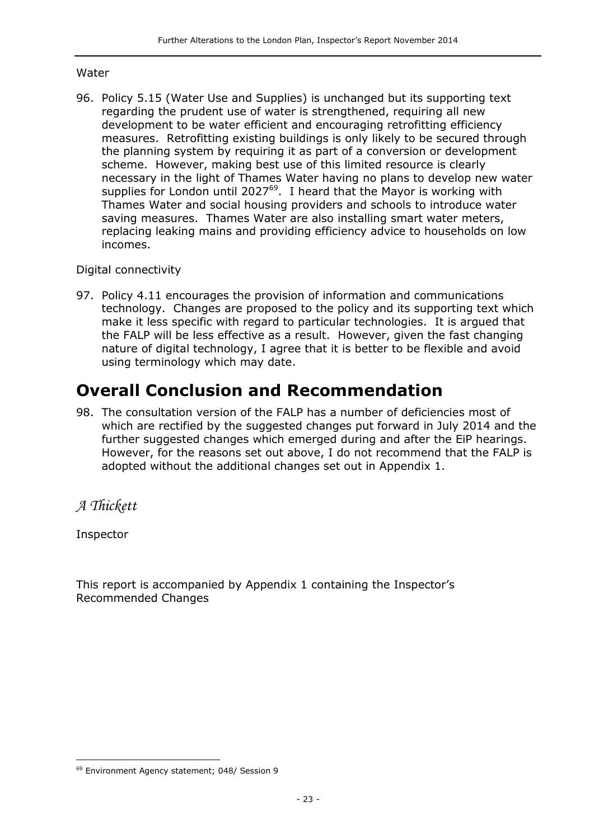#### Water

96. Policy 5.15 (Water Use and Supplies) is unchanged but its supporting text regarding the prudent use of water is strengthened, requiring all new development to be water efficient and encouraging retrofitting efficiency measures. Retrofitting existing buildings is only likely to be secured through the planning system by requiring it as part of a conversion or development scheme. However, making best use of this limited resource is clearly necessary in the light of Thames Water having no plans to develop new water supplies for London until 2027<sup>69</sup>. I heard that the Mayor is working with Thames Water and social housing providers and schools to introduce water saving measures. Thames Water are also installing smart water meters, replacing leaking mains and providing efficiency advice to households on low incomes.

#### Digital connectivity

97. Policy 4.11 encourages the provision of information and communications technology. Changes are proposed to the policy and its supporting text which make it less specific with regard to particular technologies. It is argued that the FALP will be less effective as a result. However, given the fast changing nature of digital technology, I agree that it is better to be flexible and avoid using terminology which may date.

## **Overall Conclusion and Recommendation**

98. The consultation version of the FALP has a number of deficiencies most of which are rectified by the suggested changes put forward in July 2014 and the further suggested changes which emerged during and after the EiP hearings. However, for the reasons set out above, I do not recommend that the FALP is adopted without the additional changes set out in Appendix 1.

### *A Thickett*

Inspector

This report is accompanied by Appendix 1 containing the Inspector's Recommended Changes

j <sup>69</sup> Environment Agency statement; 048/ Session 9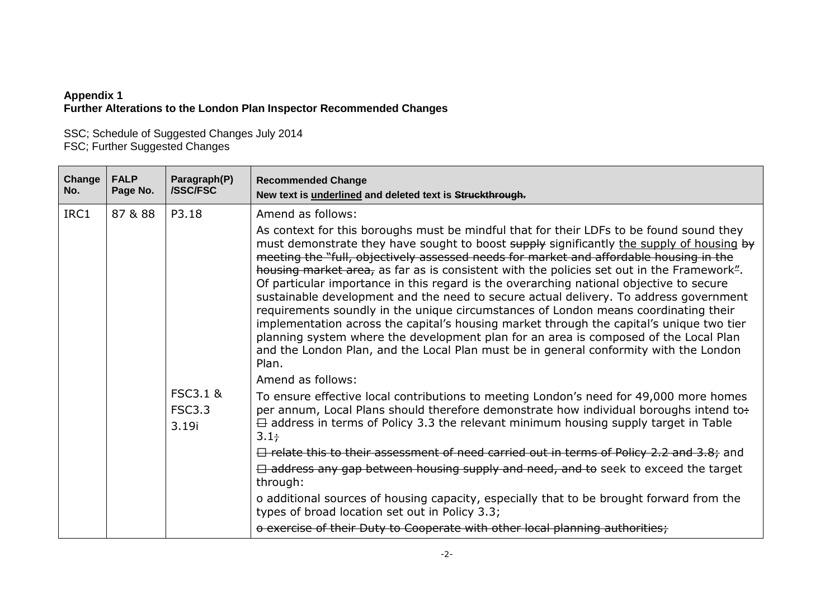#### **Appendix 1 Further Alterations to the London Plan Inspector Recommended Changes**

SSC; Schedule of Suggested Changes July 2014 FSC; Further Suggested Changes

| Change<br>No. | <b>FALP</b><br>Page No. | Paragraph(P)<br><b>/SSC/FSC</b>               | <b>Recommended Change</b><br>New text is underlined and deleted text is Struckthrough.                                                                                                                                                                                                                                                                                                                                                                                                                                                                                                                                                                                                                                                                                                                                                                                                                                                                           |
|---------------|-------------------------|-----------------------------------------------|------------------------------------------------------------------------------------------------------------------------------------------------------------------------------------------------------------------------------------------------------------------------------------------------------------------------------------------------------------------------------------------------------------------------------------------------------------------------------------------------------------------------------------------------------------------------------------------------------------------------------------------------------------------------------------------------------------------------------------------------------------------------------------------------------------------------------------------------------------------------------------------------------------------------------------------------------------------|
| IRC1          | 87 & 88                 | P3.18                                         | Amend as follows:<br>As context for this boroughs must be mindful that for their LDFs to be found sound they<br>must demonstrate they have sought to boost supply significantly the supply of housing by<br>meeting the "full, objectively assessed needs for market and affordable housing in the<br>housing market area, as far as is consistent with the policies set out in the Framework".<br>Of particular importance in this regard is the overarching national objective to secure<br>sustainable development and the need to secure actual delivery. To address government<br>requirements soundly in the unique circumstances of London means coordinating their<br>implementation across the capital's housing market through the capital's unique two tier<br>planning system where the development plan for an area is composed of the Local Plan<br>and the London Plan, and the Local Plan must be in general conformity with the London<br>Plan. |
|               |                         | <b>FSC3.1 &amp;</b><br><b>FSC3.3</b><br>3.19i | Amend as follows:<br>To ensure effective local contributions to meeting London's need for 49,000 more homes<br>per annum, Local Plans should therefore demonstrate how individual boroughs intend to:<br>$\overline{\boxminus}$ address in terms of Policy 3.3 the relevant minimum housing supply target in Table<br>$3.1 +$<br>$\Box$ relate this to their assessment of need carried out in terms of Policy 2.2 and 3.8; and<br>$\Box$ address any gap between housing supply and need, and to seek to exceed the target<br>through:<br>o additional sources of housing capacity, especially that to be brought forward from the<br>types of broad location set out in Policy 3.3;<br>o exercise of their Duty to Cooperate with other local planning authorities;                                                                                                                                                                                            |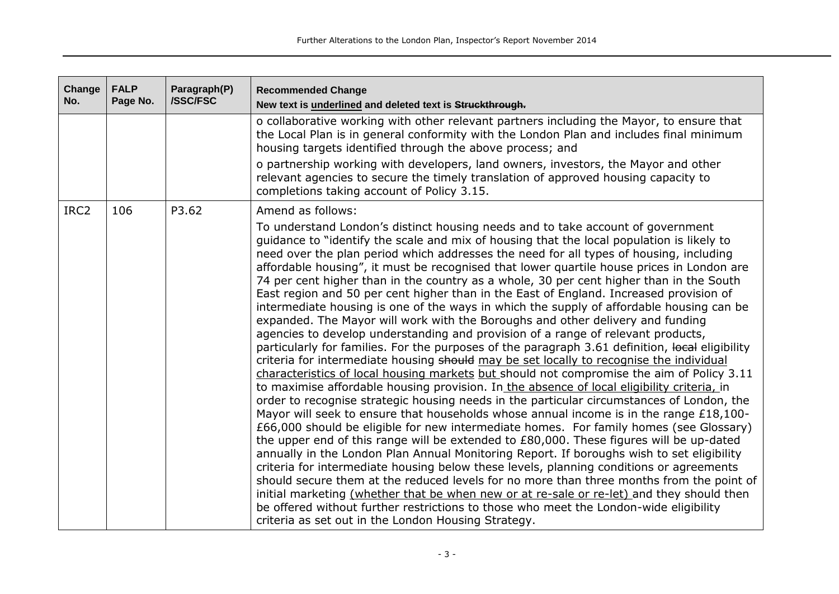| Change<br>No.    | <b>FALP</b><br>Page No. | Paragraph(P)<br><b>/SSC/FSC</b> | <b>Recommended Change</b><br>New text is underlined and deleted text is Struckthrough.                                                                                                                                                                                                                                                                                                                                                                                                                                                                                                                                                                                                                                                                                                                                                                                                                                                                                                                                                                                                                                                                                                                                                                                                                                                                                                                                                                                                                                                                                                                                                                                                                                                                                                                                                                                                                                                                                                                                                                                                                                                                |
|------------------|-------------------------|---------------------------------|-------------------------------------------------------------------------------------------------------------------------------------------------------------------------------------------------------------------------------------------------------------------------------------------------------------------------------------------------------------------------------------------------------------------------------------------------------------------------------------------------------------------------------------------------------------------------------------------------------------------------------------------------------------------------------------------------------------------------------------------------------------------------------------------------------------------------------------------------------------------------------------------------------------------------------------------------------------------------------------------------------------------------------------------------------------------------------------------------------------------------------------------------------------------------------------------------------------------------------------------------------------------------------------------------------------------------------------------------------------------------------------------------------------------------------------------------------------------------------------------------------------------------------------------------------------------------------------------------------------------------------------------------------------------------------------------------------------------------------------------------------------------------------------------------------------------------------------------------------------------------------------------------------------------------------------------------------------------------------------------------------------------------------------------------------------------------------------------------------------------------------------------------------|
|                  |                         |                                 | o collaborative working with other relevant partners including the Mayor, to ensure that<br>the Local Plan is in general conformity with the London Plan and includes final minimum<br>housing targets identified through the above process; and                                                                                                                                                                                                                                                                                                                                                                                                                                                                                                                                                                                                                                                                                                                                                                                                                                                                                                                                                                                                                                                                                                                                                                                                                                                                                                                                                                                                                                                                                                                                                                                                                                                                                                                                                                                                                                                                                                      |
|                  |                         |                                 | o partnership working with developers, land owners, investors, the Mayor and other<br>relevant agencies to secure the timely translation of approved housing capacity to<br>completions taking account of Policy 3.15.                                                                                                                                                                                                                                                                                                                                                                                                                                                                                                                                                                                                                                                                                                                                                                                                                                                                                                                                                                                                                                                                                                                                                                                                                                                                                                                                                                                                                                                                                                                                                                                                                                                                                                                                                                                                                                                                                                                                |
| IRC <sub>2</sub> | 106                     | P3.62                           | Amend as follows:<br>To understand London's distinct housing needs and to take account of government<br>guidance to "identify the scale and mix of housing that the local population is likely to<br>need over the plan period which addresses the need for all types of housing, including<br>affordable housing", it must be recognised that lower quartile house prices in London are<br>74 per cent higher than in the country as a whole, 30 per cent higher than in the South<br>East region and 50 per cent higher than in the East of England. Increased provision of<br>intermediate housing is one of the ways in which the supply of affordable housing can be<br>expanded. The Mayor will work with the Boroughs and other delivery and funding<br>agencies to develop understanding and provision of a range of relevant products,<br>particularly for families. For the purposes of the paragraph 3.61 definition, local eligibility<br>criteria for intermediate housing should may be set locally to recognise the individual<br>characteristics of local housing markets but should not compromise the aim of Policy 3.11<br>to maximise affordable housing provision. In the absence of local eligibility criteria, in<br>order to recognise strategic housing needs in the particular circumstances of London, the<br>Mayor will seek to ensure that households whose annual income is in the range £18,100-<br>£66,000 should be eligible for new intermediate homes. For family homes (see Glossary)<br>the upper end of this range will be extended to £80,000. These figures will be up-dated<br>annually in the London Plan Annual Monitoring Report. If boroughs wish to set eligibility<br>criteria for intermediate housing below these levels, planning conditions or agreements<br>should secure them at the reduced levels for no more than three months from the point of<br>initial marketing (whether that be when new or at re-sale or re-let) and they should then<br>be offered without further restrictions to those who meet the London-wide eligibility<br>criteria as set out in the London Housing Strategy. |